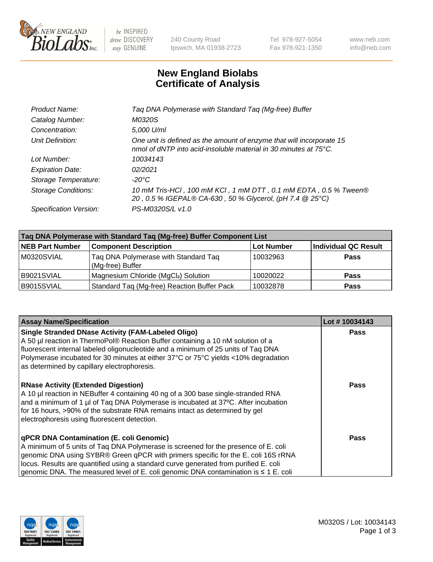

be INSPIRED drive DISCOVERY stay GENUINE

240 County Road Ipswich, MA 01938-2723 Tel 978-927-5054 Fax 978-921-1350 www.neb.com info@neb.com

## **New England Biolabs Certificate of Analysis**

| Taq DNA Polymerase with Standard Taq (Mg-free) Buffer                                                                                              |
|----------------------------------------------------------------------------------------------------------------------------------------------------|
| M0320S                                                                                                                                             |
| 5,000 U/ml                                                                                                                                         |
| One unit is defined as the amount of enzyme that will incorporate 15<br>nmol of dNTP into acid-insoluble material in 30 minutes at $75^{\circ}$ C. |
| 10034143                                                                                                                                           |
| 02/2021                                                                                                                                            |
| $-20^{\circ}$ C                                                                                                                                    |
| 10 mM Tris-HCl, 100 mM KCl, 1 mM DTT, 0.1 mM EDTA, 0.5 % Tween®<br>20, 0.5 % IGEPAL® CA-630, 50 % Glycerol, (pH 7.4 @ 25°C)                        |
| PS-M0320S/L v1.0                                                                                                                                   |
|                                                                                                                                                    |

| Tag DNA Polymerase with Standard Tag (Mg-free) Buffer Component List |                                                          |                   |                             |  |  |
|----------------------------------------------------------------------|----------------------------------------------------------|-------------------|-----------------------------|--|--|
| <b>NEB Part Number</b>                                               | <b>Component Description</b>                             | <b>Lot Number</b> | <b>Individual QC Result</b> |  |  |
| M0320SVIAL                                                           | Tag DNA Polymerase with Standard Tag<br>(Mg-free) Buffer | 10032963          | Pass                        |  |  |
| B9021SVIAL                                                           | Magnesium Chloride (MgCl2) Solution                      | 10020022          | Pass                        |  |  |
| B9015SVIAL                                                           | Standard Taq (Mg-free) Reaction Buffer Pack              | 10032878          | <b>Pass</b>                 |  |  |

| <b>Assay Name/Specification</b>                                                                                                                                                                                                                                                                                                                                                                                | Lot #10034143 |
|----------------------------------------------------------------------------------------------------------------------------------------------------------------------------------------------------------------------------------------------------------------------------------------------------------------------------------------------------------------------------------------------------------------|---------------|
| <b>Single Stranded DNase Activity (FAM-Labeled Oligo)</b><br>A 50 µl reaction in ThermoPol® Reaction Buffer containing a 10 nM solution of a<br>fluorescent internal labeled oligonucleotide and a minimum of 25 units of Tag DNA<br>Polymerase incubated for 30 minutes at either 37°C or 75°C yields <10% degradation<br>as determined by capillary electrophoresis.                                         | <b>Pass</b>   |
| <b>RNase Activity (Extended Digestion)</b><br>A 10 µl reaction in NEBuffer 4 containing 40 ng of a 300 base single-stranded RNA<br>and a minimum of 1 µl of Taq DNA Polymerase is incubated at 37°C. After incubation<br>for 16 hours, >90% of the substrate RNA remains intact as determined by gel<br>electrophoresis using fluorescent detection.                                                           | Pass          |
| <b>qPCR DNA Contamination (E. coli Genomic)</b><br>A minimum of 5 units of Taq DNA Polymerase is screened for the presence of E. coli<br>genomic DNA using SYBR® Green qPCR with primers specific for the E. coli 16S rRNA<br>locus. Results are quantified using a standard curve generated from purified E. coli<br>genomic DNA. The measured level of E. coli genomic DNA contamination is $\leq 1$ E. coli | Pass          |

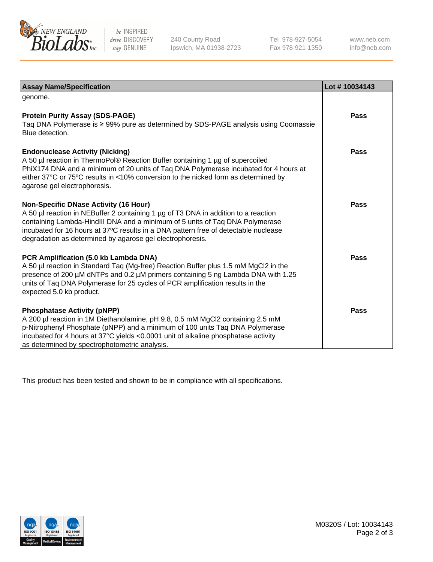

 $be$  INSPIRED drive DISCOVERY stay GENUINE

240 County Road Ipswich, MA 01938-2723 Tel 978-927-5054 Fax 978-921-1350 www.neb.com info@neb.com

| <b>Assay Name/Specification</b>                                                                                                                                                                                                                                                                                                                                        | Lot #10034143 |
|------------------------------------------------------------------------------------------------------------------------------------------------------------------------------------------------------------------------------------------------------------------------------------------------------------------------------------------------------------------------|---------------|
| genome.                                                                                                                                                                                                                                                                                                                                                                |               |
| <b>Protein Purity Assay (SDS-PAGE)</b><br>Taq DNA Polymerase is ≥ 99% pure as determined by SDS-PAGE analysis using Coomassie<br>Blue detection.                                                                                                                                                                                                                       | Pass          |
| <b>Endonuclease Activity (Nicking)</b><br>A 50 µl reaction in ThermoPol® Reaction Buffer containing 1 µg of supercoiled<br>PhiX174 DNA and a minimum of 20 units of Taq DNA Polymerase incubated for 4 hours at<br>either 37°C or 75°C results in <10% conversion to the nicked form as determined by<br>agarose gel electrophoresis.                                  | Pass          |
| <b>Non-Specific DNase Activity (16 Hour)</b><br>A 50 µl reaction in NEBuffer 2 containing 1 µg of T3 DNA in addition to a reaction<br>containing Lambda-HindIII DNA and a minimum of 5 units of Taq DNA Polymerase<br>incubated for 16 hours at 37°C results in a DNA pattern free of detectable nuclease<br>degradation as determined by agarose gel electrophoresis. | Pass          |
| PCR Amplification (5.0 kb Lambda DNA)<br>A 50 µl reaction in Standard Taq (Mg-free) Reaction Buffer plus 1.5 mM MgCl2 in the<br>presence of 200 µM dNTPs and 0.2 µM primers containing 5 ng Lambda DNA with 1.25<br>units of Taq DNA Polymerase for 25 cycles of PCR amplification results in the<br>expected 5.0 kb product.                                          | Pass          |
| <b>Phosphatase Activity (pNPP)</b><br>A 200 µl reaction in 1M Diethanolamine, pH 9.8, 0.5 mM MgCl2 containing 2.5 mM<br>p-Nitrophenyl Phosphate (pNPP) and a minimum of 100 units Taq DNA Polymerase<br>incubated for 4 hours at 37°C yields <0.0001 unit of alkaline phosphatase activity<br>as determined by spectrophotometric analysis.                            | Pass          |

This product has been tested and shown to be in compliance with all specifications.